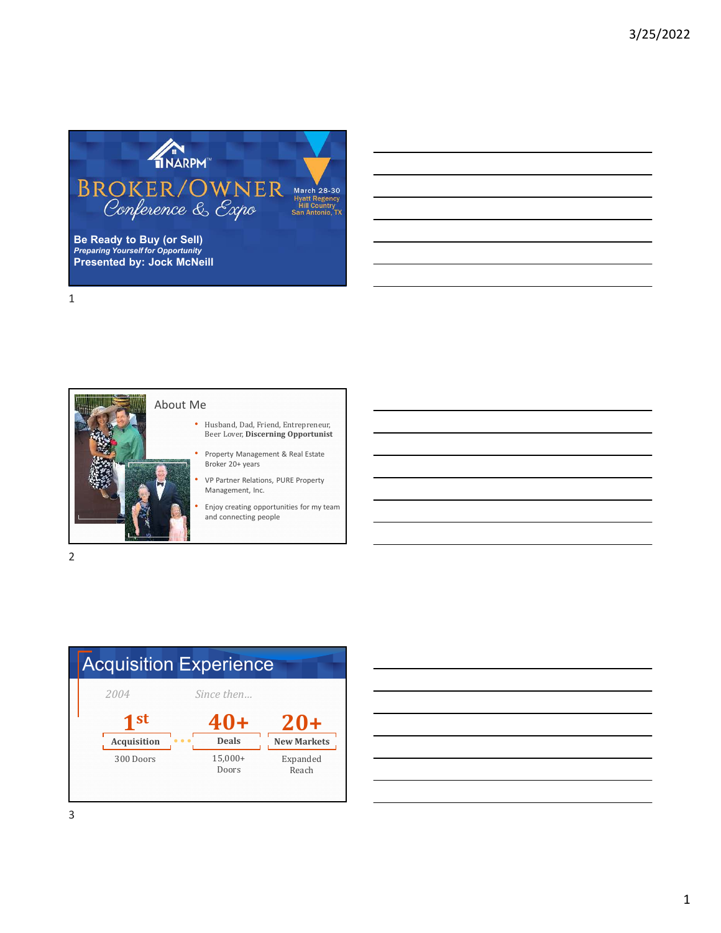

**Be Ready to Buy (or Sell)** *Preparing Yourself for Opportunity* **Presented by: Jock McNeill**

1

2



- Husband, Dad, Friend, Entrepreneur, Beer Lover, **Discerning Opportunist**
- Property Management & Real Estate Broker 20+ years
- VP Partner Relations, PURE Property Management, Inc.
- Enjoy creating opportunities for my team and connecting people



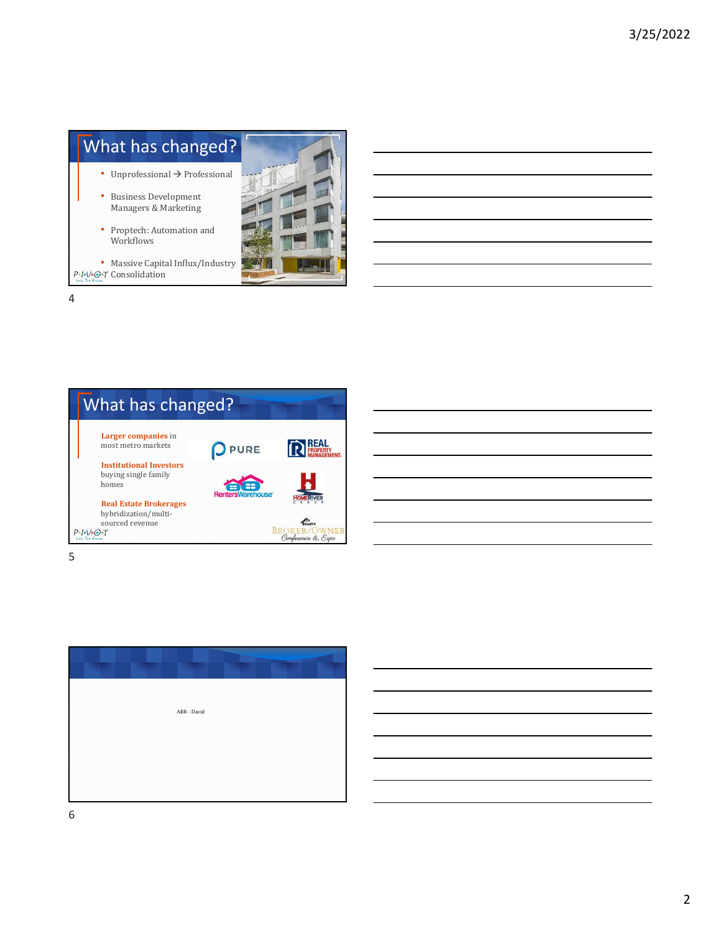





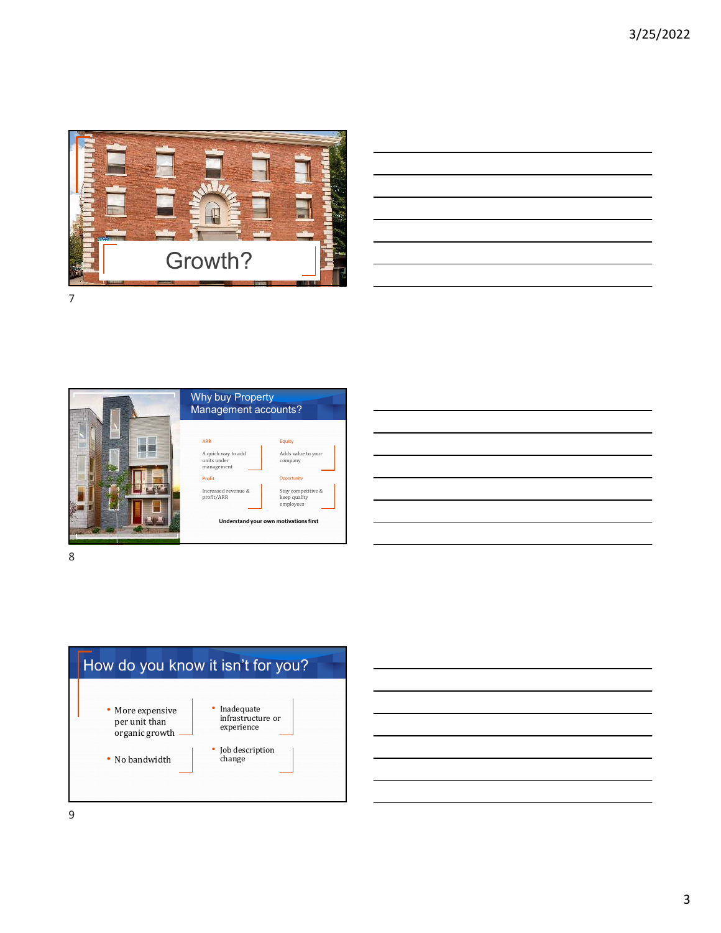

|                                                                                  |  |  | and the control of the control of |
|----------------------------------------------------------------------------------|--|--|-----------------------------------|
|                                                                                  |  |  |                                   |
|                                                                                  |  |  |                                   |
|                                                                                  |  |  | ____                              |
|                                                                                  |  |  |                                   |
| ,我们也不会有什么?""我们的人,我们也不会有什么?""我们的人,我们也不会有什么?""我们的人,我们也不会有什么?""我们的人,我们也不会有什么?""我们的人 |  |  | ____<br><b>Contract Contract</b>  |
|                                                                                  |  |  |                                   |
|                                                                                  |  |  |                                   |

![](_page_2_Picture_3.jpeg)

![](_page_2_Picture_4.jpeg)

![](_page_2_Figure_5.jpeg)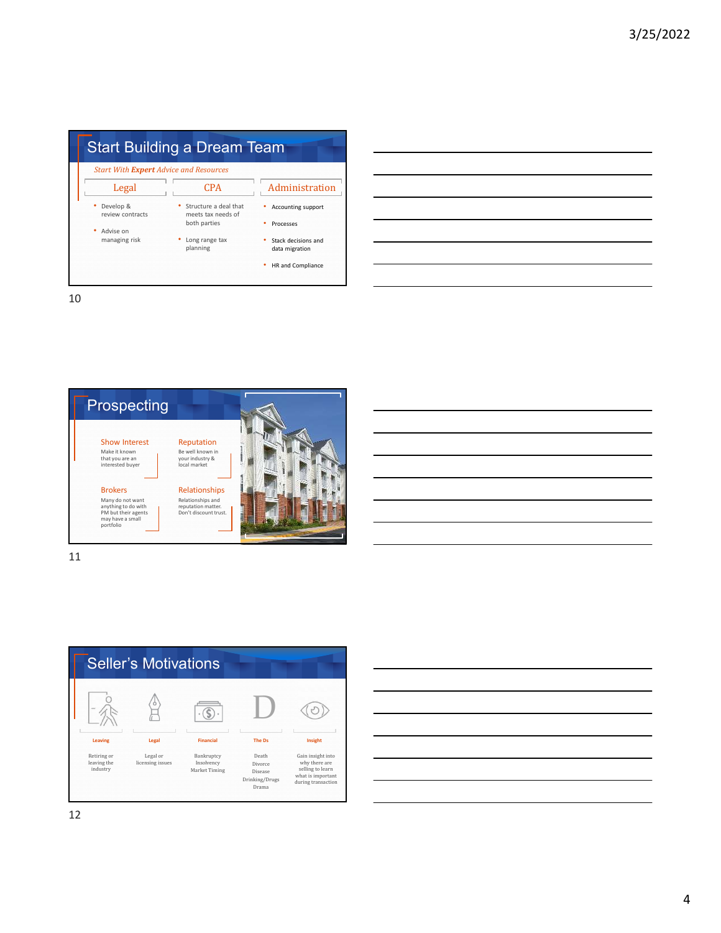|                                               | <b>Start Building a Dream Team</b>                          |                                       |  |  |  |
|-----------------------------------------------|-------------------------------------------------------------|---------------------------------------|--|--|--|
| <b>Start With Expert Advice and Resources</b> |                                                             |                                       |  |  |  |
| Legal                                         | <b>CPA</b>                                                  | Administration                        |  |  |  |
| Develop &<br>review contracts                 | Structure a deal that<br>meets tax needs of<br>both parties | Accounting support<br>Processes       |  |  |  |
| Advise on<br>managing risk                    | Long range tax<br>planning                                  | Stack decisions and<br>data migration |  |  |  |
|                                               |                                                             | HR and Compliance                     |  |  |  |

|  | <u> 1989 - Johann Barbara, martxa alemaniar argumento este alemaniar alemaniar alemaniar alemaniar alemaniar al</u>    |  |
|--|------------------------------------------------------------------------------------------------------------------------|--|
|  | <u> 1989 - Johann Barn, mars ann an t-Amhain ann an t-Amhain ann an t-Amhain ann an t-Amhain an t-Amhain ann an t-</u> |  |
|  | <u> 1989 - Andrea Andrew Maria (h. 1989).</u>                                                                          |  |
|  | <u> 1989 - Johann Stoff, amerikansk politiker (d. 1989)</u>                                                            |  |
|  | <u> 1989 - Johann Stoff, deutscher Stoff, der Stoff, der Stoff, der Stoff, der Stoff, der Stoff, der Stoff, der S</u>  |  |
|  |                                                                                                                        |  |
|  |                                                                                                                        |  |

 $\overline{\phantom{0}}$ L, - $\overline{\phantom{0}}$ L L.

10

![](_page_3_Picture_4.jpeg)

![](_page_3_Figure_5.jpeg)

![](_page_3_Figure_6.jpeg)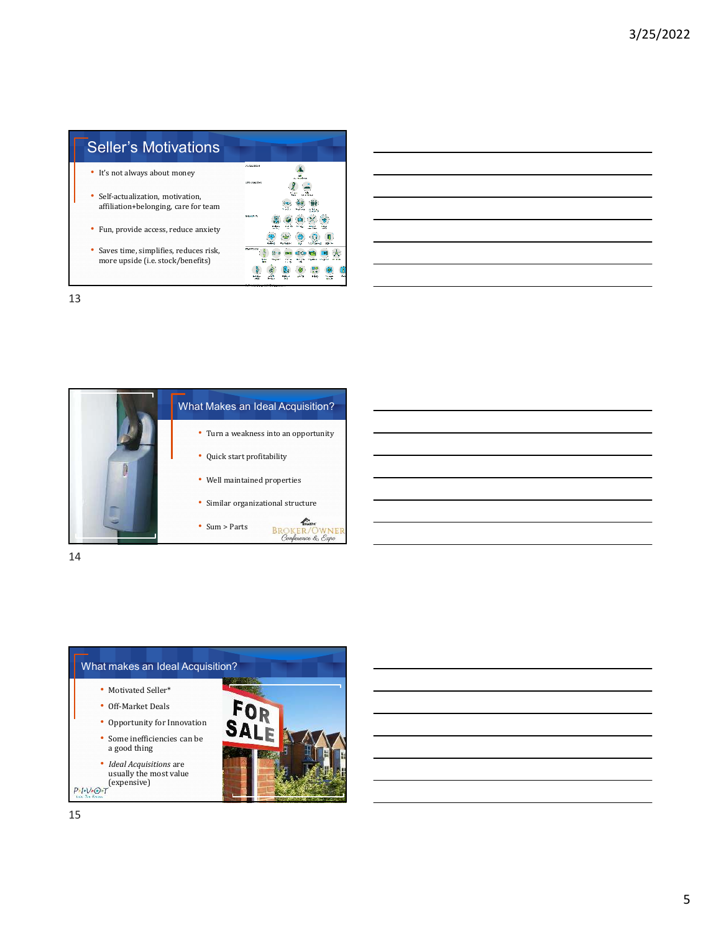| <b>Seller's Motivations</b>                                                  |                                    |
|------------------------------------------------------------------------------|------------------------------------|
| • It's not always about money                                                | 2010/04/04 04:55<br><b>ROAD RM</b> |
| • Self-actualization, motivation,<br>affiliation+belonging, care for team    |                                    |
| • Fun, provide access, reduce anxiety                                        | 製造方法等所                             |
| • Saves time, simplifies, reduces risk,<br>more upside (i.e. stock/benefits) |                                    |

![](_page_4_Picture_3.jpeg)

![](_page_4_Picture_5.jpeg)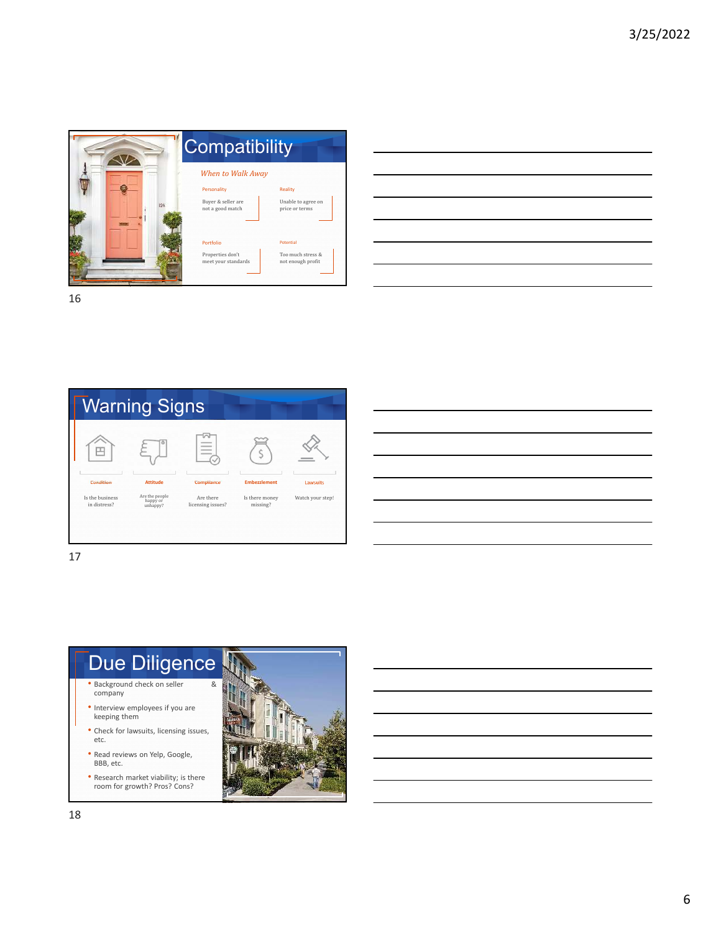![](_page_5_Picture_1.jpeg)

![](_page_5_Picture_4.jpeg)

![](_page_5_Picture_7.jpeg)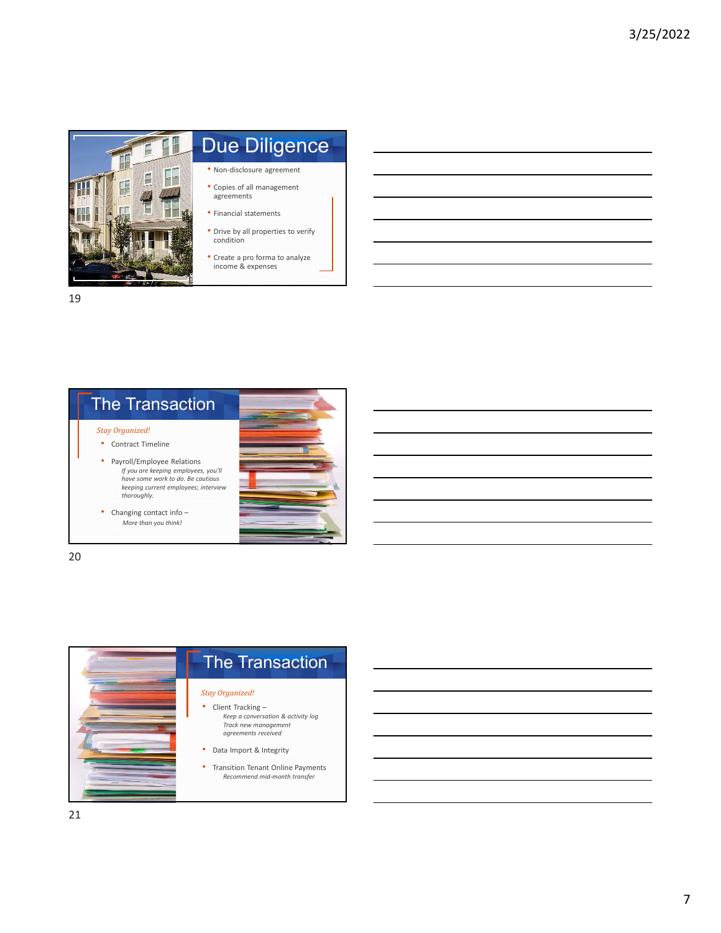![](_page_6_Picture_1.jpeg)

## Due Diligence

• Non-disclosure agreement

- Copies of all management agreements
- Financial statements
- Drive by all properties to verify condition
- Create a pro forma to analyze income & expenses

![](_page_6_Picture_9.jpeg)

![](_page_6_Picture_11.jpeg)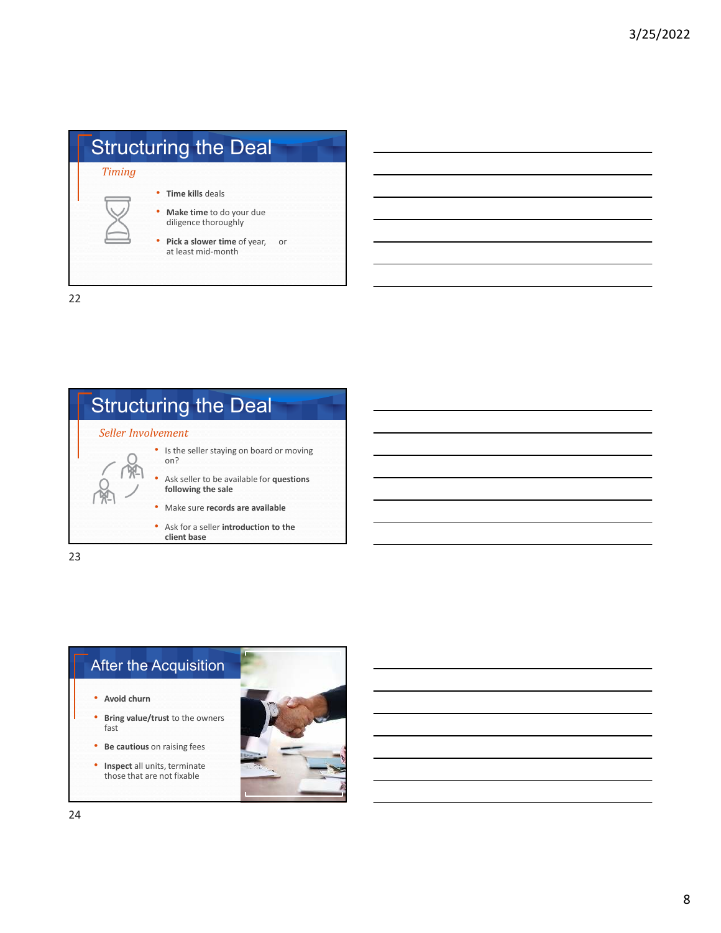|        | <b>Structuring the Deal</b>                                                                                                   |    |
|--------|-------------------------------------------------------------------------------------------------------------------------------|----|
| Timing | Time kills deals<br>• Make time to do your due<br>diligence thoroughly<br>• Pick a slower time of year,<br>at least mid-month | or |

![](_page_7_Figure_3.jpeg)

![](_page_7_Picture_4.jpeg)

![](_page_7_Picture_5.jpeg)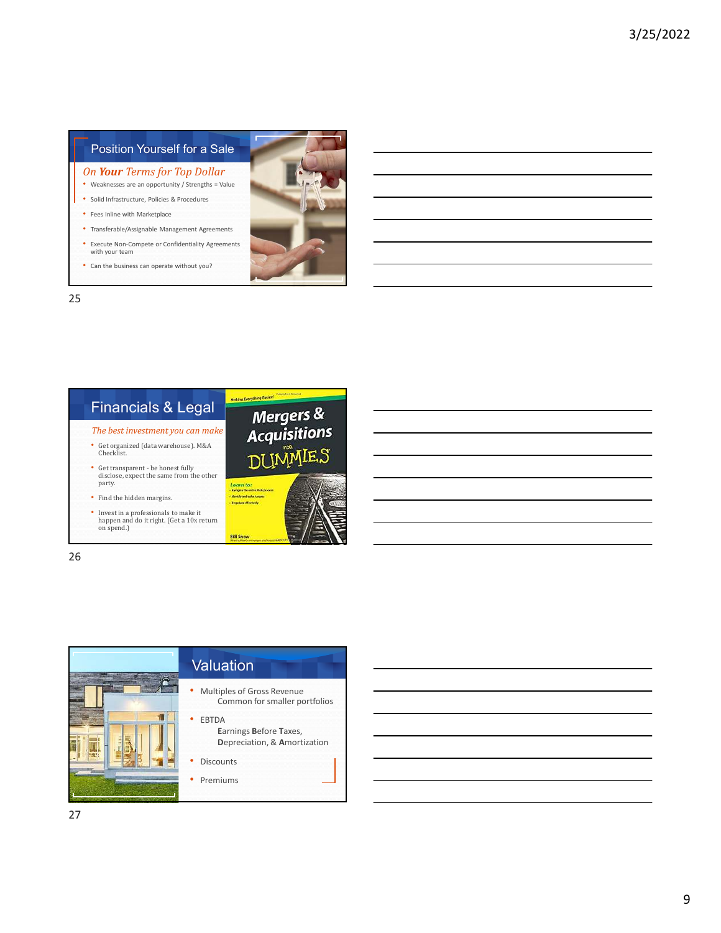## Position Yourself for a Sale

- *On Your Terms for Top Dollar*
- Weaknesses are an opportunity / Strengths = Value
- Solid Infrastructure, Policies & Procedures
- Fees Inline with Marketplace
- Transferable/Assignable Management Agreements
- Execute Non-Compete or Confidentiality Agreements with your team
- Can the business can operate without you?

![](_page_8_Picture_9.jpeg)

![](_page_8_Picture_10.jpeg)

26

![](_page_8_Picture_12.jpeg)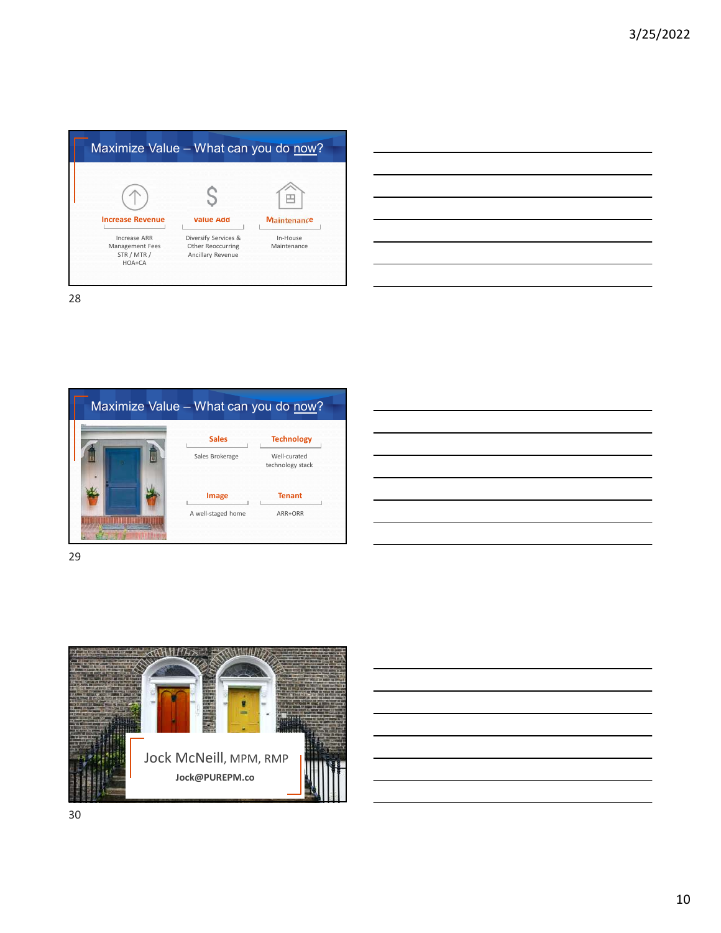|                                                              | Maximize Value - What can you do now?                          |                         |
|--------------------------------------------------------------|----------------------------------------------------------------|-------------------------|
|                                                              |                                                                |                         |
| <b>Increase Revenue</b>                                      | <b>Value Add</b>                                               | <b>Maintenance</b>      |
| Increase ARR<br>Management Fees<br>STR / MTR /<br>$HOA + CA$ | Diversify Services &<br>Other Reoccurring<br>Ancillary Revenue | In-House<br>Maintenance |

| <u> 1989 - Andrea Andrew Maria (h. 1989).</u>                                                                        |  |  |
|----------------------------------------------------------------------------------------------------------------------|--|--|
| <u> 1989 - Andrea Santa Andrea Andrea Andrea Andrea Andrea Andrea Andrea Andrea Andrea Andrea Andrea Andrea Andr</u> |  |  |
| <u> 1989 - Andrea Andrew Maria (h. 1989).</u>                                                                        |  |  |
| <u> 1989 - Andrea Santa Andrea Santa Andrea Santa Andrea Santa Andrea Santa Andrea Santa Andrea Santa Andrea San</u> |  |  |
| <u> 1989 - Andrea Andrew Maria (h. 1989).</u>                                                                        |  |  |
| ,我们也不会有什么。""我们的人,我们也不会有什么?""我们的人,我们也不会有什么?""我们的人,我们也不会有什么?""我们的人,我们也不会有什么?""我们的人                                     |  |  |
|                                                                                                                      |  |  |

![](_page_9_Picture_4.jpeg)

29

![](_page_9_Picture_7.jpeg)

![](_page_9_Picture_8.jpeg)